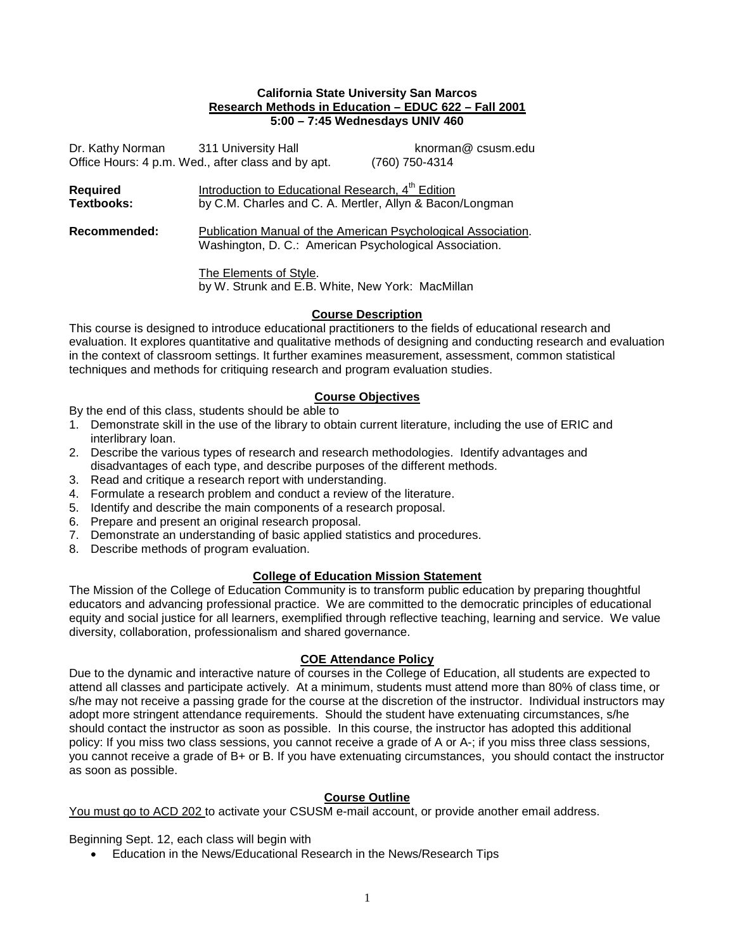#### **California State University San Marcos Research Methods in Education – EDUC 622 – Fall 2001 5:00 – 7:45 Wednesdays UNIV 460**

|                               | Dr. Kathy Norman 311 University Hall                                                                                      | knorman@csusm.edu |  |
|-------------------------------|---------------------------------------------------------------------------------------------------------------------------|-------------------|--|
|                               | Office Hours: 4 p.m. Wed., after class and by apt.                                                                        | (760) 750-4314    |  |
| Required<br><b>Textbooks:</b> | Introduction to Educational Research, 4 <sup>th</sup> Edition<br>by C.M. Charles and C. A. Mertler, Allyn & Bacon/Longman |                   |  |
| Recommended:                  | Publication Manual of the American Psychological Association.<br>Washington, D. C.: American Psychological Association.   |                   |  |
|                               | The Elements of Style.<br>by W. Strunk and E.B. White, New York: MacMillan                                                |                   |  |

### **Course Description**

This course is designed to introduce educational practitioners to the fields of educational research and evaluation. It explores quantitative and qualitative methods of designing and conducting research and evaluation in the context of classroom settings. It further examines measurement, assessment, common statistical techniques and methods for critiquing research and program evaluation studies.

# **Course Objectives**

By the end of this class, students should be able to

- 1. Demonstrate skill in the use of the library to obtain current literature, including the use of ERIC and interlibrary loan.
- 2. Describe the various types of research and research methodologies. Identify advantages and disadvantages of each type, and describe purposes of the different methods.
- 3. Read and critique a research report with understanding.
- 4. Formulate a research problem and conduct a review of the literature.
- 5. Identify and describe the main components of a research proposal.
- 6. Prepare and present an original research proposal.
- 7. Demonstrate an understanding of basic applied statistics and procedures.
- 8. Describe methods of program evaluation.

### **College of Education Mission Statement**

The Mission of the College of Education Community is to transform public education by preparing thoughtful educators and advancing professional practice. We are committed to the democratic principles of educational equity and social justice for all learners, exemplified through reflective teaching, learning and service. We value diversity, collaboration, professionalism and shared governance.

### **COE Attendance Policy**

Due to the dynamic and interactive nature of courses in the College of Education, all students are expected to attend all classes and participate actively. At a minimum, students must attend more than 80% of class time, or s/he may not receive a passing grade for the course at the discretion of the instructor. Individual instructors may adopt more stringent attendance requirements. Should the student have extenuating circumstances, s/he should contact the instructor as soon as possible. In this course, the instructor has adopted this additional policy: If you miss two class sessions, you cannot receive a grade of A or A-; if you miss three class sessions, you cannot receive a grade of B+ or B. If you have extenuating circumstances, you should contact the instructor as soon as possible.

### **Course Outline**

You must go to ACD 202 to activate your CSUSM e-mail account, or provide another email address.

Beginning Sept. 12, each class will begin with

• Education in the News/Educational Research in the News/Research Tips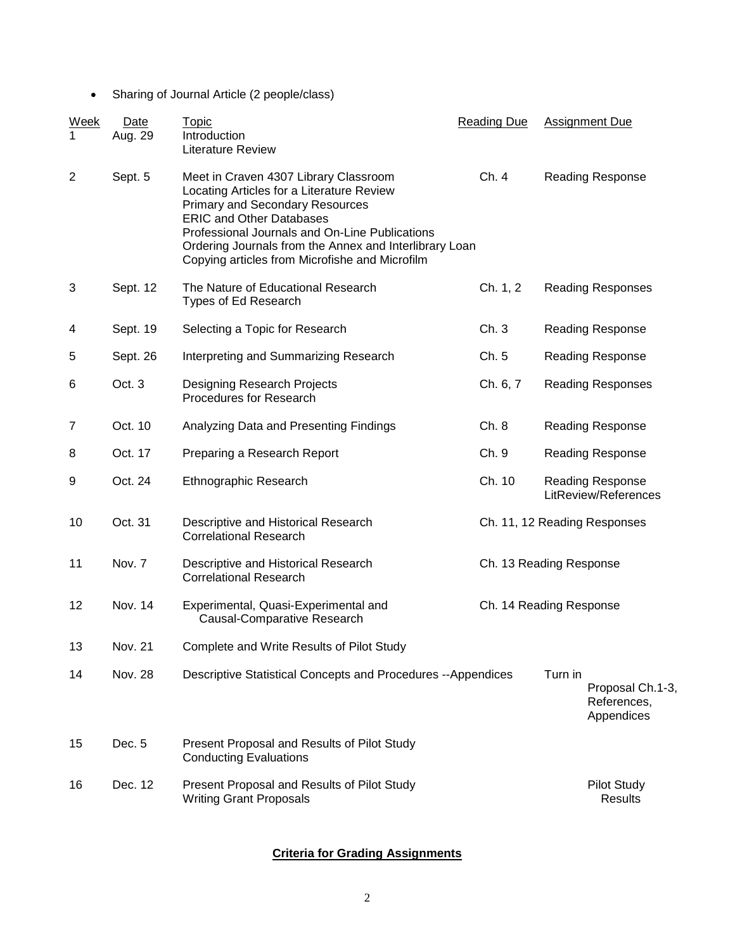• Sharing of Journal Article (2 people/class)

| Week<br>1      | Date<br>Aug. 29 | Topic<br>Introduction<br><b>Literature Review</b>                                                                                                                                                                                                                                                                             | <b>Reading Due</b> | <b>Assignment Due</b>                                    |  |  |
|----------------|-----------------|-------------------------------------------------------------------------------------------------------------------------------------------------------------------------------------------------------------------------------------------------------------------------------------------------------------------------------|--------------------|----------------------------------------------------------|--|--|
| $\overline{2}$ | Sept. 5         | Meet in Craven 4307 Library Classroom<br>Locating Articles for a Literature Review<br><b>Primary and Secondary Resources</b><br><b>ERIC and Other Databases</b><br>Professional Journals and On-Line Publications<br>Ordering Journals from the Annex and Interlibrary Loan<br>Copying articles from Microfishe and Microfilm | Ch. 4              | <b>Reading Response</b>                                  |  |  |
| 3              | Sept. 12        | The Nature of Educational Research<br>Types of Ed Research                                                                                                                                                                                                                                                                    | Ch. 1, 2           | <b>Reading Responses</b>                                 |  |  |
| 4              | Sept. 19        | Selecting a Topic for Research                                                                                                                                                                                                                                                                                                | Ch.3               | <b>Reading Response</b>                                  |  |  |
| 5              | Sept. 26        | Interpreting and Summarizing Research                                                                                                                                                                                                                                                                                         | Ch. 5              | <b>Reading Response</b>                                  |  |  |
| 6              | Oct. 3          | Designing Research Projects<br>Procedures for Research                                                                                                                                                                                                                                                                        | Ch. 6, 7           | <b>Reading Responses</b>                                 |  |  |
| 7              | Oct. 10         | Analyzing Data and Presenting Findings                                                                                                                                                                                                                                                                                        | Ch. 8              | <b>Reading Response</b>                                  |  |  |
| 8              | Oct. 17         | Preparing a Research Report                                                                                                                                                                                                                                                                                                   | Ch. 9              | <b>Reading Response</b>                                  |  |  |
| 9              | Oct. 24         | Ethnographic Research                                                                                                                                                                                                                                                                                                         | Ch. 10             | <b>Reading Response</b><br>LitReview/References          |  |  |
| 10             | Oct. 31         | Descriptive and Historical Research<br><b>Correlational Research</b>                                                                                                                                                                                                                                                          |                    | Ch. 11, 12 Reading Responses                             |  |  |
| 11             | Nov. 7          | Descriptive and Historical Research<br><b>Correlational Research</b>                                                                                                                                                                                                                                                          |                    | Ch. 13 Reading Response                                  |  |  |
| 12             | Nov. 14         | Experimental, Quasi-Experimental and<br>Causal-Comparative Research                                                                                                                                                                                                                                                           |                    | Ch. 14 Reading Response                                  |  |  |
| 13             | Nov. 21         | Complete and Write Results of Pilot Study                                                                                                                                                                                                                                                                                     |                    |                                                          |  |  |
| 14             | <b>Nov. 28</b>  | <b>Descriptive Statistical Concepts and Procedures --Appendices</b>                                                                                                                                                                                                                                                           |                    | Turn in<br>Proposal Ch.1-3,<br>References,<br>Appendices |  |  |
| 15             | Dec. 5          | Present Proposal and Results of Pilot Study<br><b>Conducting Evaluations</b>                                                                                                                                                                                                                                                  |                    |                                                          |  |  |
| 16             | Dec. 12         | Present Proposal and Results of Pilot Study<br><b>Writing Grant Proposals</b>                                                                                                                                                                                                                                                 |                    | <b>Pilot Study</b><br><b>Results</b>                     |  |  |

# **Criteria for Grading Assignments**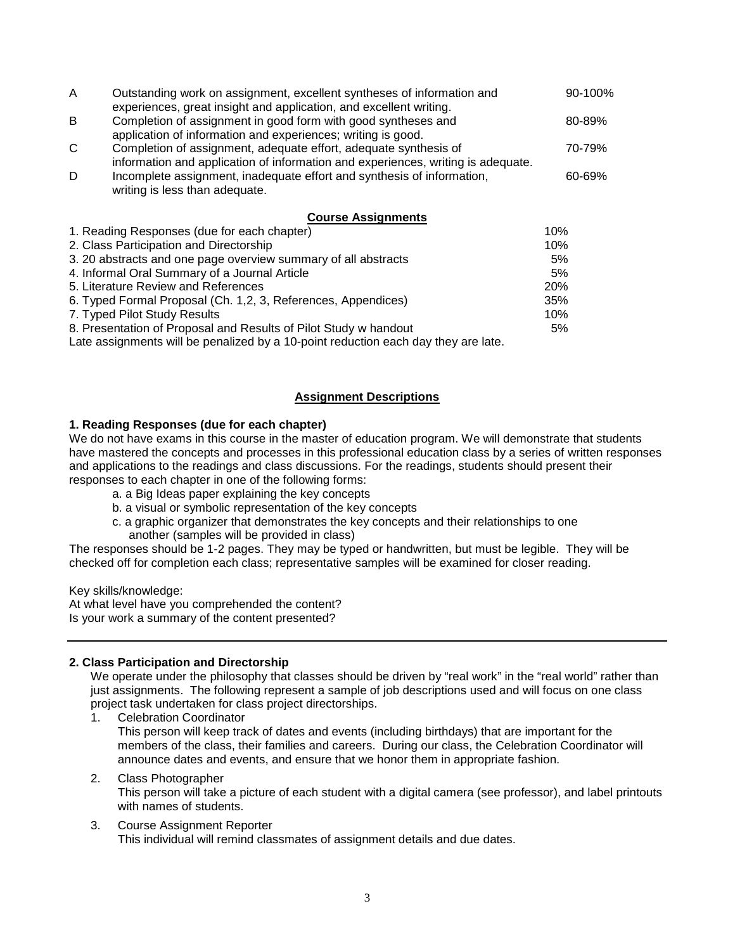| A                                                              | Outstanding work on assignment, excellent syntheses of information and<br>experiences, great insight and application, and excellent writing.<br>Completion of assignment in good form with good syntheses and<br>application of information and experiences; writing is good.<br>Completion of assignment, adequate effort, adequate synthesis of<br>information and application of information and experiences, writing is adequate.<br>Incomplete assignment, inadequate effort and synthesis of information,<br>writing is less than adequate. |    |
|----------------------------------------------------------------|---------------------------------------------------------------------------------------------------------------------------------------------------------------------------------------------------------------------------------------------------------------------------------------------------------------------------------------------------------------------------------------------------------------------------------------------------------------------------------------------------------------------------------------------------|----|
| B                                                              |                                                                                                                                                                                                                                                                                                                                                                                                                                                                                                                                                   |    |
| C                                                              |                                                                                                                                                                                                                                                                                                                                                                                                                                                                                                                                                   |    |
| D                                                              |                                                                                                                                                                                                                                                                                                                                                                                                                                                                                                                                                   |    |
|                                                                | <b>Course Assignments</b>                                                                                                                                                                                                                                                                                                                                                                                                                                                                                                                         |    |
| 1. Reading Responses (due for each chapter)                    |                                                                                                                                                                                                                                                                                                                                                                                                                                                                                                                                                   |    |
| 2. Class Participation and Directorship                        |                                                                                                                                                                                                                                                                                                                                                                                                                                                                                                                                                   |    |
| 3. 20 abstracts and one page overview summary of all abstracts |                                                                                                                                                                                                                                                                                                                                                                                                                                                                                                                                                   |    |
| 4. Informal Oral Summary of a Journal Article                  |                                                                                                                                                                                                                                                                                                                                                                                                                                                                                                                                                   | 5% |
| 5. Literature Review and References                            |                                                                                                                                                                                                                                                                                                                                                                                                                                                                                                                                                   |    |
| 6. Typed Formal Proposal (Ch. 1,2, 3, References, Appendices)  |                                                                                                                                                                                                                                                                                                                                                                                                                                                                                                                                                   |    |
|                                                                |                                                                                                                                                                                                                                                                                                                                                                                                                                                                                                                                                   |    |

7. Typed Pilot Study Results 10% 8. Presentation of Proposal and Results of Pilot Study w handout 5%

Late assignments will be penalized by a 10-point reduction each day they are late.

# **Assignment Descriptions**

### **1. Reading Responses (due for each chapter)**

We do not have exams in this course in the master of education program. We will demonstrate that students have mastered the concepts and processes in this professional education class by a series of written responses and applications to the readings and class discussions. For the readings, students should present their responses to each chapter in one of the following forms:

- a. a Big Ideas paper explaining the key concepts
- b. a visual or symbolic representation of the key concepts
- c. a graphic organizer that demonstrates the key concepts and their relationships to one another (samples will be provided in class)

The responses should be 1-2 pages. They may be typed or handwritten, but must be legible. They will be checked off for completion each class; representative samples will be examined for closer reading.

Key skills/knowledge:

At what level have you comprehended the content? Is your work a summary of the content presented?

### **2. Class Participation and Directorship**

We operate under the philosophy that classes should be driven by "real work" in the "real world" rather than just assignments. The following represent a sample of job descriptions used and will focus on one class project task undertaken for class project directorships.

1. Celebration Coordinator

This person will keep track of dates and events (including birthdays) that are important for the members of the class, their families and careers. During our class, the Celebration Coordinator will announce dates and events, and ensure that we honor them in appropriate fashion.

2. Class Photographer This person will take a picture of each student with a digital camera (see professor), and label printouts with names of students.

### 3. Course Assignment Reporter This individual will remind classmates of assignment details and due dates.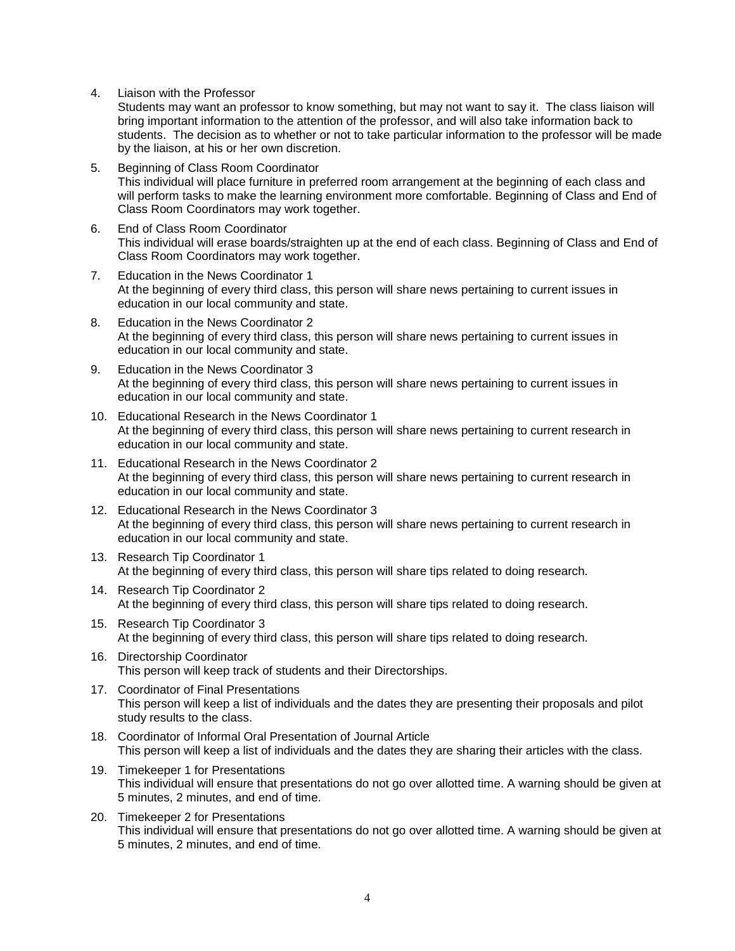4. Liaison with the Professor

Students may want an professor to know something, but may not want to say it. The class liaison will bring important information to the attention of the professor, and will also take information back to students. The decision as to whether or not to take particular information to the professor will be made by the liaison, at his or her own discretion.

- 5. Beginning of Class Room Coordinator This individual will place furniture in preferred room arrangement at the beginning of each class and will perform tasks to make the learning environment more comfortable. Beginning of Class and End of Class Room Coordinators may work together.
- 6. End of Class Room Coordinator This individual will erase boards/straighten up at the end of each class. Beginning of Class and End of Class Room Coordinators may work together.
- 7. Education in the News Coordinator 1 At the beginning of every third class, this person will share news pertaining to current issues in education in our local community and state.
- 8. Education in the News Coordinator 2 At the beginning of every third class, this person will share news pertaining to current issues in education in our local community and state.
- 9. Education in the News Coordinator 3 At the beginning of every third class, this person will share news pertaining to current issues in education in our local community and state.
- 10. Educational Research in the News Coordinator 1 At the beginning of every third class, this person will share news pertaining to current research in education in our local community and state.
- 11. Educational Research in the News Coordinator 2 At the beginning of every third class, this person will share news pertaining to current research in education in our local community and state.
- 12. Educational Research in the News Coordinator 3 At the beginning of every third class, this person will share news pertaining to current research in education in our local community and state.
- 13. Research Tip Coordinator 1 At the beginning of every third class, this person will share tips related to doing research.
- 14. Research Tip Coordinator 2 At the beginning of every third class, this person will share tips related to doing research.
- 15. Research Tip Coordinator 3 At the beginning of every third class, this person will share tips related to doing research.
- 16. Directorship Coordinator This person will keep track of students and their Directorships.
- 17. Coordinator of Final Presentations This person will keep a list of individuals and the dates they are presenting their proposals and pilot study results to the class.
- 18. Coordinator of Informal Oral Presentation of Journal Article This person will keep a list of individuals and the dates they are sharing their articles with the class.
- 19. Timekeeper 1 for Presentations This individual will ensure that presentations do not go over allotted time. A warning should be given at 5 minutes, 2 minutes, and end of time.
- 20. Timekeeper 2 for Presentations This individual will ensure that presentations do not go over allotted time. A warning should be given at 5 minutes, 2 minutes, and end of time.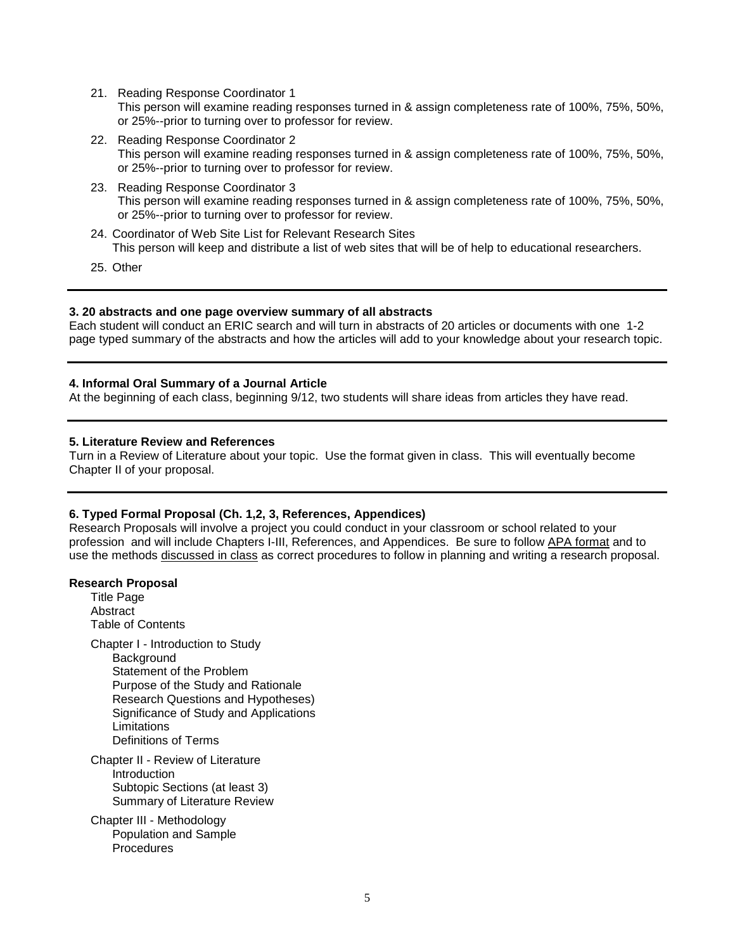21. Reading Response Coordinator 1

This person will examine reading responses turned in & assign completeness rate of 100%, 75%, 50%, or 25%--prior to turning over to professor for review.

- 22. Reading Response Coordinator 2 This person will examine reading responses turned in & assign completeness rate of 100%, 75%, 50%, or 25%--prior to turning over to professor for review.
- 23. Reading Response Coordinator 3 This person will examine reading responses turned in & assign completeness rate of 100%, 75%, 50%, or 25%--prior to turning over to professor for review.
- 24. Coordinator of Web Site List for Relevant Research Sites This person will keep and distribute a list of web sites that will be of help to educational researchers.
- 25. Other

#### **3. 20 abstracts and one page overview summary of all abstracts**

Each student will conduct an ERIC search and will turn in abstracts of 20 articles or documents with one 1-2 page typed summary of the abstracts and how the articles will add to your knowledge about your research topic.

#### **4. Informal Oral Summary of a Journal Article**

At the beginning of each class, beginning 9/12, two students will share ideas from articles they have read.

#### **5. Literature Review and References**

Turn in a Review of Literature about your topic. Use the format given in class. This will eventually become Chapter II of your proposal.

#### **6. Typed Formal Proposal (Ch. 1,2, 3, References, Appendices)**

Research Proposals will involve a project you could conduct in your classroom or school related to your profession and will include Chapters I-III, References, and Appendices. Be sure to follow APA format and to use the methods discussed in class as correct procedures to follow in planning and writing a research proposal.

#### **Research Proposal**

Title Page **Abstract** Table of Contents Chapter I - Introduction to Study **Background** Statement of the Problem Purpose of the Study and Rationale Research Questions and Hypotheses) Significance of Study and Applications **Limitations** Definitions of Terms Chapter II - Review of Literature Introduction Subtopic Sections (at least 3)

Summary of Literature Review Chapter III - Methodology

Population and Sample Procedures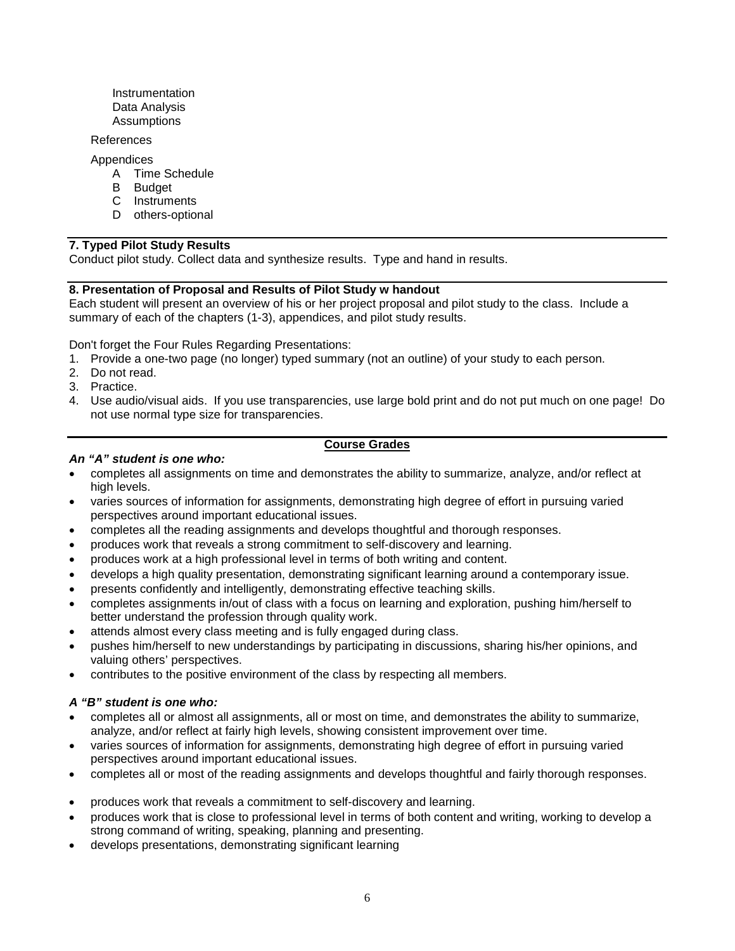**Instrumentation** Data Analysis **Assumptions** 

#### References

Appendices

- A Time Schedule
- B Budget
- C Instruments
- D others-optional

# **7. Typed Pilot Study Results**

Conduct pilot study. Collect data and synthesize results. Type and hand in results.

### **8. Presentation of Proposal and Results of Pilot Study w handout**

Each student will present an overview of his or her project proposal and pilot study to the class. Include a summary of each of the chapters (1-3), appendices, and pilot study results.

Don't forget the Four Rules Regarding Presentations:

- 1. Provide a one-two page (no longer) typed summary (not an outline) of your study to each person.
- 2. Do not read.
- 3. Practice.
- 4. Use audio/visual aids. If you use transparencies, use large bold print and do not put much on one page! Do not use normal type size for transparencies.

# **Course Grades**

### *An "A" student is one who:*

- completes all assignments on time and demonstrates the ability to summarize, analyze, and/or reflect at high levels.
- varies sources of information for assignments, demonstrating high degree of effort in pursuing varied perspectives around important educational issues.
- completes all the reading assignments and develops thoughtful and thorough responses.
- produces work that reveals a strong commitment to self-discovery and learning.
- produces work at a high professional level in terms of both writing and content.
- develops a high quality presentation, demonstrating significant learning around a contemporary issue.
- presents confidently and intelligently, demonstrating effective teaching skills.
- completes assignments in/out of class with a focus on learning and exploration, pushing him/herself to better understand the profession through quality work.
- attends almost every class meeting and is fully engaged during class.
- pushes him/herself to new understandings by participating in discussions, sharing his/her opinions, and valuing others' perspectives.
- contributes to the positive environment of the class by respecting all members.

### *A "B" student is one who:*

- completes all or almost all assignments, all or most on time, and demonstrates the ability to summarize, analyze, and/or reflect at fairly high levels, showing consistent improvement over time.
- varies sources of information for assignments, demonstrating high degree of effort in pursuing varied perspectives around important educational issues.
- completes all or most of the reading assignments and develops thoughtful and fairly thorough responses.
- produces work that reveals a commitment to self-discovery and learning.
- produces work that is close to professional level in terms of both content and writing, working to develop a strong command of writing, speaking, planning and presenting.
- develops presentations, demonstrating significant learning